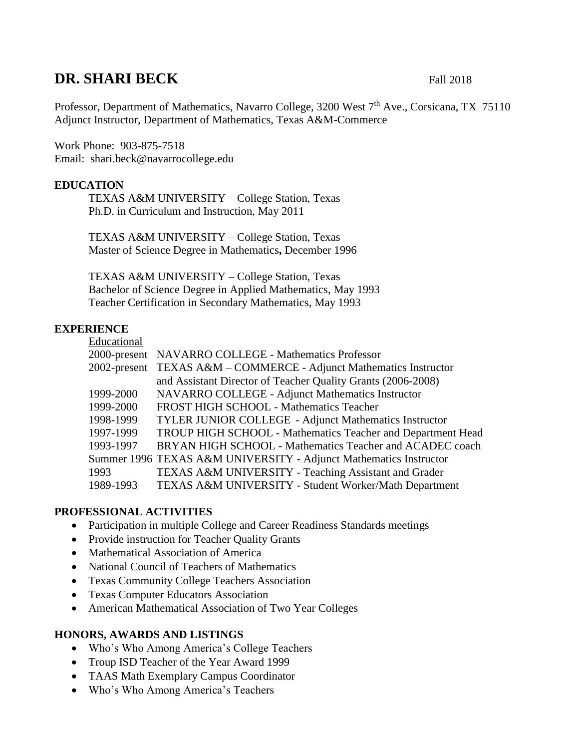# **DR. SHARI BECK** Fall 2018

Professor, Department of Mathematics, Navarro College, 3200 West 7<sup>th</sup> Ave., Corsicana, TX 75110 Adjunct Instructor, Department of Mathematics, Texas A&M-Commerce

Work Phone: 903-875-7518 Email: shari.beck@navarrocollege.edu

# **EDUCATION**

TEXAS A&M UNIVERSITY – College Station, Texas Ph.D. in Curriculum and Instruction, May 2011

TEXAS A&M UNIVERSITY – College Station, Texas Master of Science Degree in Mathematics**,** December 1996

TEXAS A&M UNIVERSITY – College Station, Texas Bachelor of Science Degree in Applied Mathematics, May 1993 Teacher Certification in Secondary Mathematics, May 1993

### **EXPERIENCE**

| Educational  |                                                                   |
|--------------|-------------------------------------------------------------------|
|              | 2000-present NAVARRO COLLEGE - Mathematics Professor              |
| 2002-present | TEXAS A&M - COMMERCE - Adjunct Mathematics Instructor             |
|              | and Assistant Director of Teacher Quality Grants (2006-2008)      |
| 1999-2000    | NAVARRO COLLEGE - Adjunct Mathematics Instructor                  |
| 1999-2000    | FROST HIGH SCHOOL - Mathematics Teacher                           |
| 1998-1999    | TYLER JUNIOR COLLEGE - Adjunct Mathematics Instructor             |
| 1997-1999    | TROUP HIGH SCHOOL - Mathematics Teacher and Department Head       |
| 1993-1997    | BRYAN HIGH SCHOOL - Mathematics Teacher and ACADEC coach          |
|              | Summer 1996 TEXAS A&M UNIVERSITY - Adjunct Mathematics Instructor |
| 1993         | TEXAS A&M UNIVERSITY - Teaching Assistant and Grader              |
| 1989-1993    | TEXAS A&M UNIVERSITY - Student Worker/Math Department             |

# **PROFESSIONAL ACTIVITIES**

- Participation in multiple College and Career Readiness Standards meetings
- Provide instruction for Teacher Quality Grants
- Mathematical Association of America
- National Council of Teachers of Mathematics
- Texas Community College Teachers Association
- Texas Computer Educators Association
- American Mathematical Association of Two Year Colleges

### **HONORS, AWARDS AND LISTINGS**

- Who's Who Among America's College Teachers
- Troup ISD Teacher of the Year Award 1999
- TAAS Math Exemplary Campus Coordinator
- Who's Who Among America's Teachers